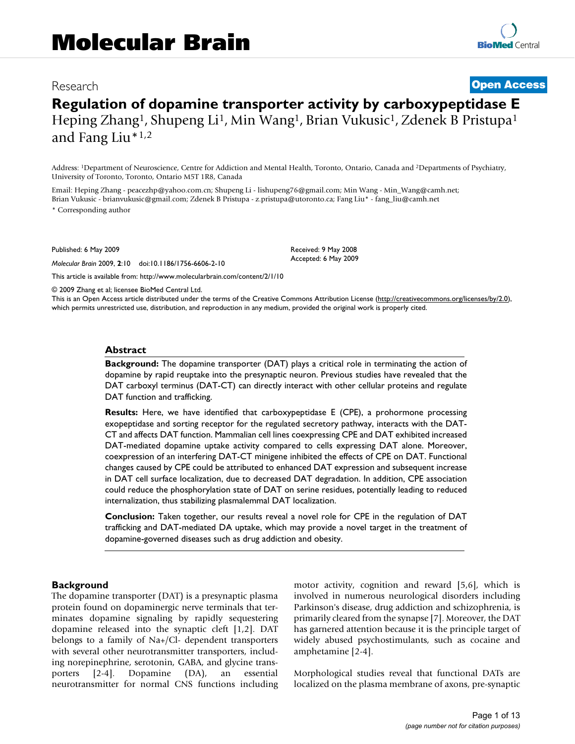## Research **[Open Access](http://www.biomedcentral.com/info/about/charter/)**

# **Regulation of dopamine transporter activity by carboxypeptidase E** Heping Zhang<sup>1</sup>, Shupeng Li<sup>1</sup>, Min Wang<sup>1</sup>, Brian Vukusic<sup>1</sup>, Zdenek B Pristupa<sup>1</sup> and Fang Liu\*1,2

Address: 1Department of Neuroscience, Centre for Addiction and Mental Health, Toronto, Ontario, Canada and 2Departments of Psychiatry, University of Toronto, Toronto, Ontario M5T 1R8, Canada

Email: Heping Zhang - peacezhp@yahoo.com.cn; Shupeng Li - lishupeng76@gmail.com; Min Wang - Min\_Wang@camh.net; Brian Vukusic - brianvukusic@gmail.com; Zdenek B Pristupa - z.pristupa@utoronto.ca; Fang Liu\* - fang\_liu@camh.net \* Corresponding author

Published: 6 May 2009

*Molecular Brain* 2009, **2**:10 doi:10.1186/1756-6606-2-10

Received: 9 May 2008 Accepted: 6 May 2009

[This article is available from: http://www.molecularbrain.com/content/2/1/10](http://www.molecularbrain.com/content/2/1/10)

© 2009 Zhang et al; licensee BioMed Central Ltd.

This is an Open Access article distributed under the terms of the Creative Commons Attribution License [\(http://creativecommons.org/licenses/by/2.0\)](http://creativecommons.org/licenses/by/2.0), which permits unrestricted use, distribution, and reproduction in any medium, provided the original work is properly cited.

#### **Abstract**

**Background:** The dopamine transporter (DAT) plays a critical role in terminating the action of dopamine by rapid reuptake into the presynaptic neuron. Previous studies have revealed that the DAT carboxyl terminus (DAT-CT) can directly interact with other cellular proteins and regulate DAT function and trafficking.

**Results:** Here, we have identified that carboxypeptidase E (CPE), a prohormone processing exopeptidase and sorting receptor for the regulated secretory pathway, interacts with the DAT-CT and affects DAT function. Mammalian cell lines coexpressing CPE and DAT exhibited increased DAT-mediated dopamine uptake activity compared to cells expressing DAT alone. Moreover, coexpression of an interfering DAT-CT minigene inhibited the effects of CPE on DAT. Functional changes caused by CPE could be attributed to enhanced DAT expression and subsequent increase in DAT cell surface localization, due to decreased DAT degradation. In addition, CPE association could reduce the phosphorylation state of DAT on serine residues, potentially leading to reduced internalization, thus stabilizing plasmalemmal DAT localization.

**Conclusion:** Taken together, our results reveal a novel role for CPE in the regulation of DAT trafficking and DAT-mediated DA uptake, which may provide a novel target in the treatment of dopamine-governed diseases such as drug addiction and obesity.

#### **Background**

The dopamine transporter (DAT) is a presynaptic plasma protein found on dopaminergic nerve terminals that terminates dopamine signaling by rapidly sequestering dopamine released into the synaptic cleft [1,2]. DAT belongs to a family of Na+/Cl- dependent transporters with several other neurotransmitter transporters, including norepinephrine, serotonin, GABA, and glycine transporters [2-4]. Dopamine (DA), an essential neurotransmitter for normal CNS functions including motor activity, cognition and reward [5,6], which is involved in numerous neurological disorders including Parkinson's disease, drug addiction and schizophrenia, is primarily cleared from the synapse [7]. Moreover, the DAT has garnered attention because it is the principle target of widely abused psychostimulants, such as cocaine and amphetamine [2-4].

Morphological studies reveal that functional DATs are localized on the plasma membrane of axons, pre-synaptic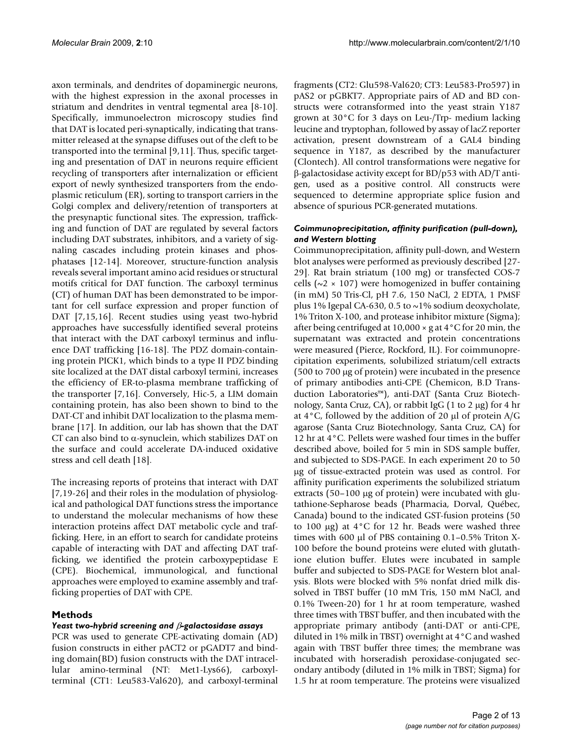axon terminals, and dendrites of dopaminergic neurons, with the highest expression in the axonal processes in striatum and dendrites in ventral tegmental area [8-10]. Specifically, immunoelectron microscopy studies find that DAT is located peri-synaptically, indicating that transmitter released at the synapse diffuses out of the cleft to be transported into the terminal [9,11]. Thus, specific targeting and presentation of DAT in neurons require efficient recycling of transporters after internalization or efficient export of newly synthesized transporters from the endoplasmic reticulum (ER), sorting to transport carriers in the Golgi complex and delivery/retention of transporters at the presynaptic functional sites. The expression, trafficking and function of DAT are regulated by several factors including DAT substrates, inhibitors, and a variety of signaling cascades including protein kinases and phosphatases [12-14]. Moreover, structure-function analysis reveals several important amino acid residues or structural motifs critical for DAT function. The carboxyl terminus (CT) of human DAT has been demonstrated to be important for cell surface expression and proper function of DAT [7,15,16]. Recent studies using yeast two-hybrid approaches have successfully identified several proteins that interact with the DAT carboxyl terminus and influence DAT trafficking [16-18]. The PDZ domain-containing protein PICK1, which binds to a type II PDZ binding site localized at the DAT distal carboxyl termini, increases the efficiency of ER-to-plasma membrane trafficking of the transporter [7,16]. Conversely, Hic-5, a LIM domain containing protein, has also been shown to bind to the DAT-CT and inhibit DAT localization to the plasma membrane [17]. In addition, our lab has shown that the DAT CT can also bind to  $\alpha$ -synuclein, which stabilizes DAT on the surface and could accelerate DA-induced oxidative stress and cell death [18].

The increasing reports of proteins that interact with DAT [7,19-26] and their roles in the modulation of physiological and pathological DAT functions stress the importance to understand the molecular mechanisms of how these interaction proteins affect DAT metabolic cycle and trafficking. Here, in an effort to search for candidate proteins capable of interacting with DAT and affecting DAT trafficking, we identified the protein carboxypeptidase E (CPE). Biochemical, immunological, and functional approaches were employed to examine assembly and trafficking properties of DAT with CPE.

## **Methods**

#### *Yeast two-hybrid screening and* β*-galactosidase assays*

PCR was used to generate CPE-activating domain (AD) fusion constructs in either pACT2 or pGADT7 and binding domain(BD) fusion constructs with the DAT intracellular amino-terminal (NT: Met1-Lys66), carboxylterminal (CT1: Leu583-Val620), and carboxyl-terminal

fragments (CT2: Glu598-Val620; CT3: Leu583-Pro597) in pAS2 or pGBKT7. Appropriate pairs of AD and BD constructs were cotransformed into the yeast strain Y187 grown at 30°C for 3 days on Leu-/Trp- medium lacking leucine and tryptophan, followed by assay of lacZ reporter activation, present downstream of a GAL4 binding sequence in Y187, as described by the manufacturer (Clontech). All control transformations were negative for β-galactosidase activity except for BD/p53 with AD/T antigen, used as a positive control. All constructs were sequenced to determine appropriate splice fusion and absence of spurious PCR-generated mutations.

#### *Coimmunoprecipitation, affinity purification (pull-down), and Western blotting*

Coimmunoprecipitation, affinity pull-down, and Western blot analyses were performed as previously described [27- 29]. Rat brain striatum (100 mg) or transfected COS-7 cells ( $\sim$ 2 × 107) were homogenized in buffer containing (in mM) 50 Tris-Cl, pH 7.6, 150 NaCl, 2 EDTA, 1 PMSF plus 1% Igepal CA-630, 0.5 to  $\sim$ 1% sodium deoxycholate, 1% Triton X-100, and protease inhibitor mixture (Sigma); after being centrifuged at 10,000 × g at 4°C for 20 min, the supernatant was extracted and protein concentrations were measured (Pierce, Rockford, IL). For coimmunoprecipitation experiments, solubilized striatum/cell extracts (500 to 700 μg of protein) were incubated in the presence of primary antibodies anti-CPE (Chemicon, B.D Transduction Laboratories™), anti-DAT (Santa Cruz Biotechnology, Santa Cruz, CA), or rabbit IgG (1 to 2 μg) for 4 hr at 4°C, followed by the addition of 20 μl of protein A/G agarose (Santa Cruz Biotechnology, Santa Cruz, CA) for 12 hr at 4°C. Pellets were washed four times in the buffer described above, boiled for 5 min in SDS sample buffer, and subjected to SDS-PAGE. In each experiment 20 to 50 μg of tissue-extracted protein was used as control. For affinity purification experiments the solubilized striatum extracts (50–100 μg of protein) were incubated with glutathione-Sepharose beads (Pharmacia, Dorval, Québec, Canada) bound to the indicated GST-fusion proteins (50 to 100 μg) at 4°C for 12 hr. Beads were washed three times with 600 μl of PBS containing 0.1–0.5% Triton X-100 before the bound proteins were eluted with glutathione elution buffer. Elutes were incubated in sample buffer and subjected to SDS-PAGE for Western blot analysis. Blots were blocked with 5% nonfat dried milk dissolved in TBST buffer (10 mM Tris, 150 mM NaCl, and 0.1% Tween-20) for 1 hr at room temperature, washed three times with TBST buffer, and then incubated with the appropriate primary antibody (anti-DAT or anti-CPE, diluted in 1% milk in TBST) overnight at 4°C and washed again with TBST buffer three times; the membrane was incubated with horseradish peroxidase-conjugated secondary antibody (diluted in 1% milk in TBST; Sigma) for 1.5 hr at room temperature. The proteins were visualized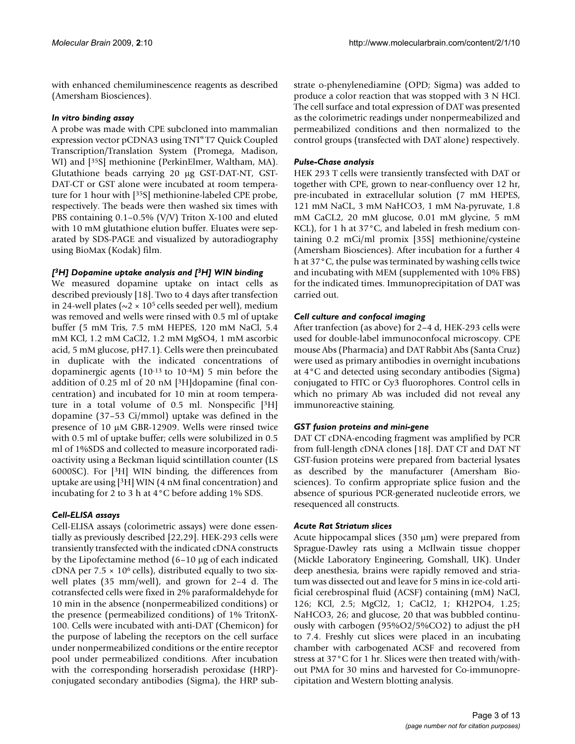with enhanced chemiluminescence reagents as described (Amersham Biosciences).

#### *In vitro binding assay*

A probe was made with CPE subcloned into mammalian expression vector pCDNA3 using TNT® T7 Quick Coupled Transcription/Translation System (Promega, Madison, WI) and [35S] methionine (PerkinElmer, Waltham, MA). Glutathione beads carrying 20 μg GST-DAT-NT, GST-DAT-CT or GST alone were incubated at room temperature for 1 hour with [35S] methionine-labeled CPE probe, respectively. The beads were then washed six times with PBS containing 0.1–0.5% (V/V) Triton X-100 and eluted with 10 mM glutathione elution buffer. Eluates were separated by SDS-PAGE and visualized by autoradiography using BioMax (Kodak) film.

## *[3H] Dopamine uptake analysis and [3H] WIN binding*

We measured dopamine uptake on intact cells as described previously [18]. Two to 4 days after transfection in 24-well plates ( $\sim$ 2 × 10<sup>5</sup> cells seeded per well), medium was removed and wells were rinsed with 0.5 ml of uptake buffer (5 mM Tris, 7.5 mM HEPES, 120 mM NaCl, 5.4 mM KCl, 1.2 mM CaCl2, 1.2 mM MgSO4, 1 mM ascorbic acid, 5 mM glucose, pH7.1). Cells were then preincubated in duplicate with the indicated concentrations of dopaminergic agents (10-13 to 10-4M) 5 min before the addition of 0.25 ml of 20 nM [3H]dopamine (final concentration) and incubated for 10 min at room temperature in a total volume of 0.5 ml. Nonspecific [3H] dopamine (37–53 Ci/mmol) uptake was defined in the presence of 10 μM GBR-12909. Wells were rinsed twice with 0.5 ml of uptake buffer; cells were solubilized in 0.5 ml of 1%SDS and collected to measure incorporated radioactivity using a Beckman liquid scintillation counter (LS 6000SC). For [3H] WIN binding, the differences from uptake are using [3H] WIN (4 nM final concentration) and incubating for 2 to 3 h at 4°C before adding 1% SDS.

## *Cell-ELISA assays*

Cell-ELISA assays (colorimetric assays) were done essentially as previously described [22,29]. HEK-293 cells were transiently transfected with the indicated cDNA constructs by the Lipofectamine method (6–10 μg of each indicated cDNA per  $7.5 \times 10^6$  cells), distributed equally to two sixwell plates (35 mm/well), and grown for 2–4 d. The cotransfected cells were fixed in 2% paraformaldehyde for 10 min in the absence (nonpermeabilized conditions) or the presence (permeabilized conditions) of 1% TritonX-100. Cells were incubated with anti-DAT (Chemicon) for the purpose of labeling the receptors on the cell surface under nonpermeabilized conditions or the entire receptor pool under permeabilized conditions. After incubation with the corresponding horseradish peroxidase (HRP) conjugated secondary antibodies (Sigma), the HRP substrate o-phenylenediamine (OPD; Sigma) was added to produce a color reaction that was stopped with 3 N HCl. The cell surface and total expression of DAT was presented as the colorimetric readings under nonpermeabilized and permeabilized conditions and then normalized to the control groups (transfected with DAT alone) respectively.

#### *Pulse-Chase analysis*

HEK 293 T cells were transiently transfected with DAT or together with CPE, grown to near-confluency over 12 hr, pre-incubated in extracellular solution (7 mM HEPES, 121 mM NaCL, 3 mM NaHCO3, 1 mM Na-pyruvate, 1.8 mM CaCL2, 20 mM glucose, 0.01 mM glycine, 5 mM KCL), for 1 h at 37°C, and labeled in fresh medium containing 0.2 mCi/ml promix [35S] methionine/cysteine (Amersham Biosciences). After incubation for a further 4 h at 37°C, the pulse was terminated by washing cells twice and incubating with MEM (supplemented with 10% FBS) for the indicated times. Immunoprecipitation of DAT was carried out.

## *Cell culture and confocal imaging*

After tranfection (as above) for 2–4 d, HEK-293 cells were used for double-label immunoconfocal microscopy. CPE mouse Abs (Pharmacia) and DAT Rabbit Abs (Santa Cruz) were used as primary antibodies in overnight incubations at 4°C and detected using secondary antibodies (Sigma) conjugated to FITC or Cy3 fluorophores. Control cells in which no primary Ab was included did not reveal any immunoreactive staining.

## *GST fusion proteins and mini-gene*

DAT CT cDNA-encoding fragment was amplified by PCR from full-length cDNA clones [18]. DAT CT and DAT NT GST-fusion proteins were prepared from bacterial lysates as described by the manufacturer (Amersham Biosciences). To confirm appropriate splice fusion and the absence of spurious PCR-generated nucleotide errors, we resequenced all constructs.

#### *Acute Rat Striatum slices*

Acute hippocampal slices (350 μm) were prepared from Sprague-Dawley rats using a McIlwain tissue chopper (Mickle Laboratory Engineering, Gomshall, UK). Under deep anesthesia, brains were rapidly removed and striatum was dissected out and leave for 5 mins in ice-cold artificial cerebrospinal fluid (ACSF) containing (mM) NaCl, 126; KCl, 2.5; MgCl2, 1; CaCl2, 1; KH2PO4, 1.25; NaHCO3, 26; and glucose, 20 that was bubbled continuously with carbogen (95%O2/5%CO2) to adjust the pH to 7.4. Freshly cut slices were placed in an incubating chamber with carbogenated ACSF and recovered from stress at 37°C for 1 hr. Slices were then treated with/without PMA for 30 mins and harvested for Co-immunoprecipitation and Western blotting analysis.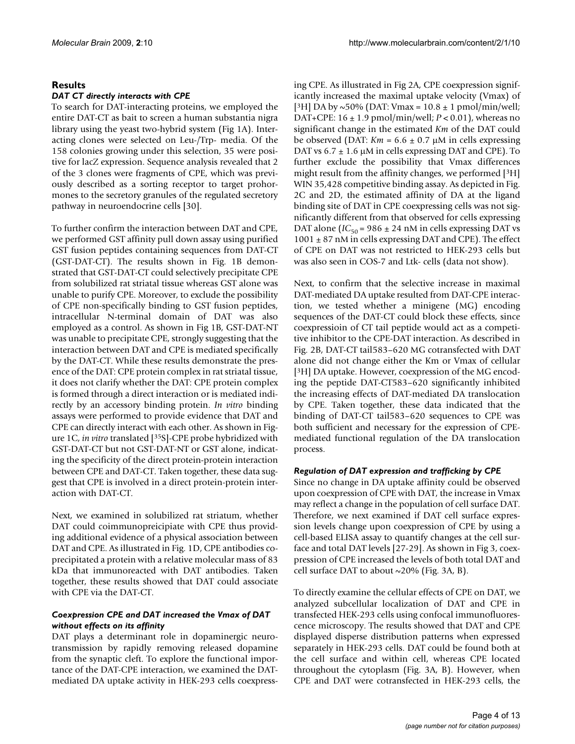## **Results**

## *DAT CT directly interacts with CPE*

To search for DAT-interacting proteins, we employed the entire DAT-CT as bait to screen a human substantia nigra library using the yeast two-hybrid system (Fig 1A). Interacting clones were selected on Leu-/Trp- media. Of the 158 colonies growing under this selection, 35 were positive for lacZ expression. Sequence analysis revealed that 2 of the 3 clones were fragments of CPE, which was previously described as a sorting receptor to target prohormones to the secretory granules of the regulated secretory pathway in neuroendocrine cells [30].

To further confirm the interaction between DAT and CPE, we performed GST affinity pull down assay using purified GST fusion peptides containing sequences from DAT-CT (GST-DAT-CT). The results shown in Fig. 1B demonstrated that GST-DAT-CT could selectively precipitate CPE from solubilized rat striatal tissue whereas GST alone was unable to purify CPE. Moreover, to exclude the possibility of CPE non-specifically binding to GST fusion peptides, intracellular N-terminal domain of DAT was also employed as a control. As shown in Fig 1B, GST-DAT-NT was unable to precipitate CPE, strongly suggesting that the interaction between DAT and CPE is mediated specifically by the DAT-CT. While these results demonstrate the presence of the DAT: CPE protein complex in rat striatal tissue, it does not clarify whether the DAT: CPE protein complex is formed through a direct interaction or is mediated indirectly by an accessory binding protein. *In vitro* binding assays were performed to provide evidence that DAT and CPE can directly interact with each other. As shown in Figure 1C, *in vitro* translated [35S]-CPE probe hybridized with GST-DAT-CT but not GST-DAT-NT or GST alone, indicating the specificity of the direct protein-protein interaction between CPE and DAT-CT. Taken together, these data suggest that CPE is involved in a direct protein-protein interaction with DAT-CT.

Next, we examined in solubilized rat striatum, whether DAT could coimmunopreicipiate with CPE thus providing additional evidence of a physical association between DAT and CPE. As illustrated in Fig. 1D, CPE antibodies coprecipitated a protein with a relative molecular mass of 83 kDa that immunoreacted with DAT antibodies. Taken together, these results showed that DAT could associate with CPE via the DAT-CT.

## *Coexpression CPE and DAT increased the Vmax of DAT without effects on its affinity*

DAT plays a determinant role in dopaminergic neurotransmission by rapidly removing released dopamine from the synaptic cleft. To explore the functional importance of the DAT-CPE interaction, we examined the DATmediated DA uptake activity in HEK-293 cells coexpressing CPE. As illustrated in Fig 2A, CPE coexpression significantly increased the maximal uptake velocity (Vmax) of [<sup>3</sup>H] DA by ~50% (DAT: Vmax =  $10.8 \pm 1$  pmol/min/well; DAT+CPE: 16 ± 1.9 pmol/min/well; *P* < 0.01), whereas no significant change in the estimated *Km* of the DAT could be observed (DAT:  $Km = 6.6 \pm 0.7 \mu M$  in cells expressing DAT vs  $6.7 \pm 1.6$  µM in cells expressing DAT and CPE). To further exclude the possibility that Vmax differences might result from the affinity changes, we performed [3H] WIN 35,428 competitive binding assay. As depicted in Fig. 2C and 2D, the estimated affinity of DA at the ligand binding site of DAT in CPE coexpressing cells was not significantly different from that observed for cells expressing DAT alone  $(IC_{50} = 986 \pm 24 \text{ nM} \text{ in cells expressing DAT vs }$  $1001 \pm 87$  nM in cells expressing DAT and CPE). The effect of CPE on DAT was not restricted to HEK-293 cells but was also seen in COS-7 and Ltk- cells (data not show).

Next, to confirm that the selective increase in maximal DAT-mediated DA uptake resulted from DAT-CPE interaction, we tested whether a minigene (MG) encoding sequences of the DAT-CT could block these effects, since coexpressioin of CT tail peptide would act as a competitive inhibitor to the CPE-DAT interaction. As described in Fig. 2B, DAT-CT tail583–620 MG cotransfected with DAT alone did not change either the Km or Vmax of cellular [3H] DA uptake. However, coexpression of the MG encoding the peptide DAT-CT583–620 significantly inhibited the increasing effects of DAT-mediated DA translocation by CPE. Taken together, these data indicated that the binding of DAT-CT tail583–620 sequences to CPE was both sufficient and necessary for the expression of CPEmediated functional regulation of the DA translocation process.

## *Regulation of DAT expression and trafficking by CPE*

Since no change in DA uptake affinity could be observed upon coexpression of CPE with DAT, the increase in Vmax may reflect a change in the population of cell surface DAT. Therefore, we next examined if DAT cell surface expression levels change upon coexpression of CPE by using a cell-based ELISA assay to quantify changes at the cell surface and total DAT levels [27-29]. As shown in Fig 3, coexpression of CPE increased the levels of both total DAT and cell surface DAT to about ~20% (Fig. 3A, B).

To directly examine the cellular effects of CPE on DAT, we analyzed subcellular localization of DAT and CPE in transfected HEK-293 cells using confocal immunofluorescence microscopy. The results showed that DAT and CPE displayed disperse distribution patterns when expressed separately in HEK-293 cells. DAT could be found both at the cell surface and within cell, whereas CPE located throughout the cytoplasm (Fig. 3A, B). However, when CPE and DAT were cotransfected in HEK-293 cells, the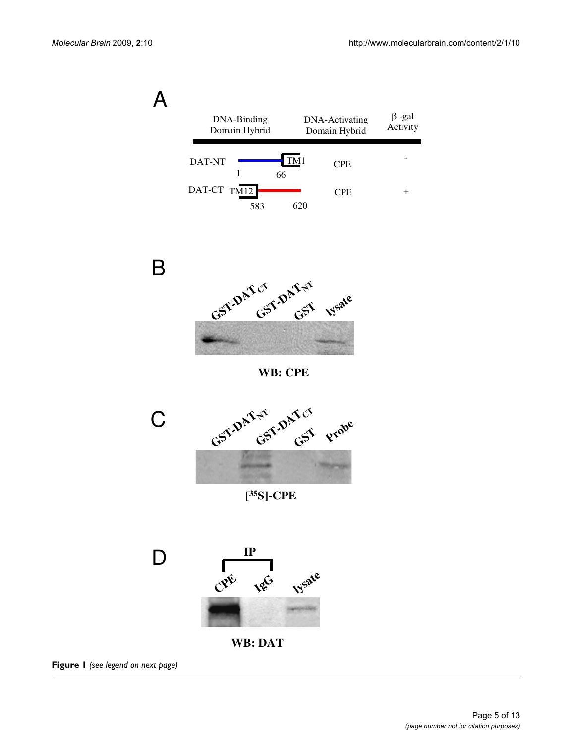

**Figure 1** *(see legend on next page)*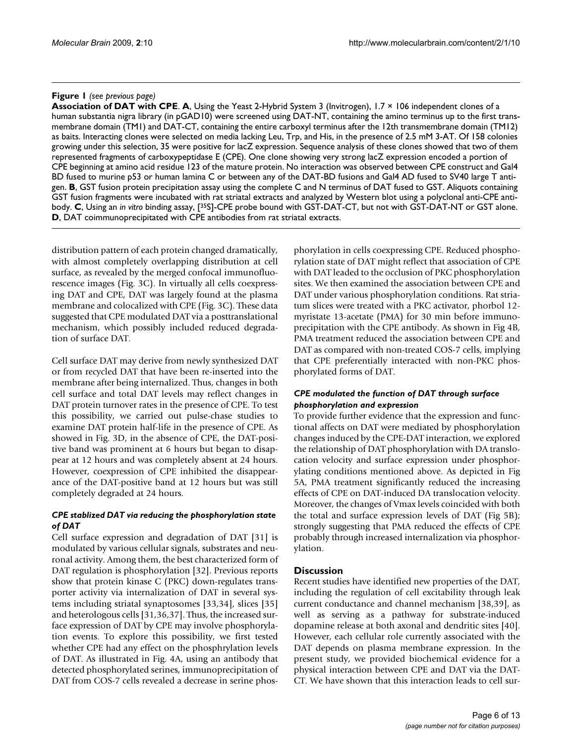#### **Figure 1** (see previous page)

**Association of DAT with CPE**. **A**, Using the Yeast 2-Hybrid System 3 (Invitrogen), 1.7 × 106 independent clones of a human substantia nigra library (in pGAD10) were screened using DAT-NT, containing the amino terminus up to the first transmembrane domain (TM1) and DAT-CT, containing the entire carboxyl terminus after the 12th transmembrane domain (TM12) as baits. Interacting clones were selected on media lacking Leu, Trp, and His, in the presence of 2.5 mM 3-AT. Of 158 colonies growing under this selection, 35 were positive for lacZ expression. Sequence analysis of these clones showed that two of them represented fragments of carboxypeptidase E (CPE). One clone showing very strong lacZ expression encoded a portion of CPE beginning at amino acid residue 123 of the mature protein. No interaction was observed between CPE construct and Gal4 BD fused to murine p53 or human lamina C or between any of the DAT-BD fusions and Gal4 AD fused to SV40 large T antigen. **B**, GST fusion protein precipitation assay using the complete C and N terminus of DAT fused to GST. Aliquots containing GST fusion fragments were incubated with rat striatal extracts and analyzed by Western blot using a polyclonal anti-CPE antibody. **C**, Using an *in vitro* binding assay, [35S]-CPE probe bound with GST-DAT-CT, but not with GST-DAT-NT or GST alone. **D**, DAT coimmunoprecipitated with CPE antibodies from rat striatal extracts.

distribution pattern of each protein changed dramatically, with almost completely overlapping distribution at cell surface, as revealed by the merged confocal immunofluorescence images (Fig. 3C). In virtually all cells coexpressing DAT and CPE, DAT was largely found at the plasma membrane and colocalized with CPE (Fig. 3C). These data suggested that CPE modulated DAT via a posttranslational mechanism, which possibly included reduced degradation of surface DAT.

Cell surface DAT may derive from newly synthesized DAT or from recycled DAT that have been re-inserted into the membrane after being internalized. Thus, changes in both cell surface and total DAT levels may reflect changes in DAT protein turnover rates in the presence of CPE. To test this possibility, we carried out pulse-chase studies to examine DAT protein half-life in the presence of CPE. As showed in Fig. 3D, in the absence of CPE, the DAT-positive band was prominent at 6 hours but began to disappear at 12 hours and was completely absent at 24 hours. However, coexpression of CPE inhibited the disappearance of the DAT-positive band at 12 hours but was still completely degraded at 24 hours.

## *CPE stablized DAT via reducing the phosphorylation state of DAT*

Cell surface expression and degradation of DAT [31] is modulated by various cellular signals, substrates and neuronal activity. Among them, the best characterized form of DAT regulation is phosphorylation [32]. Previous reports show that protein kinase C (PKC) down-regulates transporter activity via internalization of DAT in several systems including striatal synaptosomes [33,34], slices [35] and heterologous cells [31,36,37]. Thus, the increased surface expression of DAT by CPE may involve phosphorylation events. To explore this possibility, we first tested whether CPE had any effect on the phosphrylation levels of DAT. As illustrated in Fig. 4A, using an antibody that detected phosphorylated serines, immunoprecipitation of DAT from COS-7 cells revealed a decrease in serine phosphorylation in cells coexpressing CPE. Reduced phosphorylation state of DAT might reflect that association of CPE with DAT leaded to the occlusion of PKC phosphorylation sites. We then examined the association between CPE and DAT under various phosphorylation conditions. Rat striatum slices were treated with a PKC activator, phorbol 12 myristate 13-acetate (PMA) for 30 min before immunoprecipitation with the CPE antibody. As shown in Fig 4B, PMA treatment reduced the association between CPE and DAT as compared with non-treated COS-7 cells, implying that CPE preferentially interacted with non-PKC phosphorylated forms of DAT.

## *CPE modulated the function of DAT through surface phosphorylation and expression*

To provide further evidence that the expression and functional affects on DAT were mediated by phosphorylation changes induced by the CPE-DAT interaction, we explored the relationship of DAT phosphorylation with DA translocation velocity and surface expression under phosphorylating conditions mentioned above. As depicted in Fig 5A, PMA treatment significantly reduced the increasing effects of CPE on DAT-induced DA translocation velocity. Moreover, the changes of Vmax levels coincided with both the total and surface expression levels of DAT (Fig 5B); strongly suggesting that PMA reduced the effects of CPE probably through increased internalization via phosphorylation.

## **Discussion**

Recent studies have identified new properties of the DAT, including the regulation of cell excitability through leak current conductance and channel mechanism [38,39], as well as serving as a pathway for substrate-induced dopamine release at both axonal and dendritic sites [40]. However, each cellular role currently associated with the DAT depends on plasma membrane expression. In the present study, we provided biochemical evidence for a physical interaction between CPE and DAT via the DAT-CT. We have shown that this interaction leads to cell sur-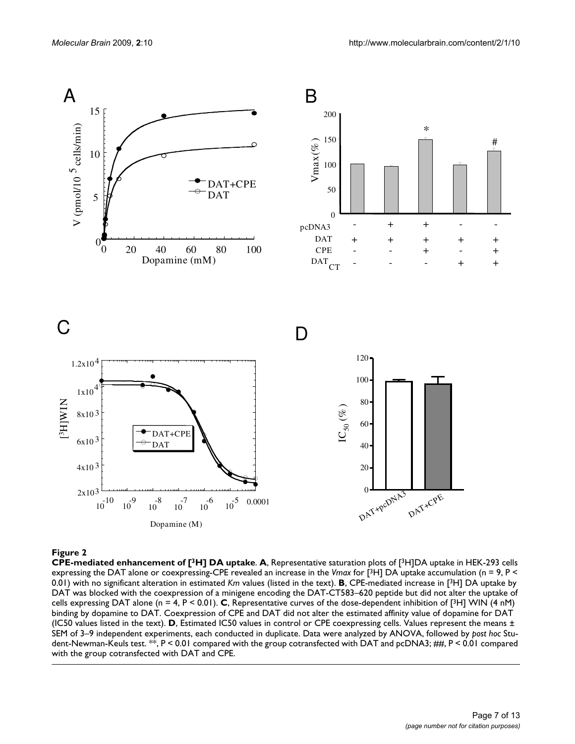

#### Figure 2

**CPE-mediated enhancement of [3H] DA uptake**. **A**, Representative saturation plots of [3H]DA uptake in HEK-293 cells expressing the DAT alone or coexpressing-CPE revealed an increase in the *Vmax* for [3H] DA uptake accumulation (n = 9, P < 0.01) with no significant alteration in estimated *Km* values (listed in the text). **B**, CPE-mediated increase in [3H] DA uptake by DAT was blocked with the coexpression of a minigene encoding the DAT-CT583–620 peptide but did not alter the uptake of cells expressing DAT alone (n = 4, P < 0.01). **C**, Representative curves of the dose-dependent inhibition of [3H] WIN (4 nM) binding by dopamine to DAT. Coexpression of CPE and DAT did not alter the estimated affinity value of dopamine for DAT (IC50 values listed in the text). **D**, Estimated IC50 values in control or CPE coexpressing cells. Values represent the means ± SEM of 3–9 independent experiments, each conducted in duplicate. Data were analyzed by ANOVA, followed by *post hoc* Student-Newman-Keuls test. \*\*, P < 0.01 compared with the group cotransfected with DAT and pcDNA3; ##, P < 0.01 compared with the group cotransfected with DAT and CPE.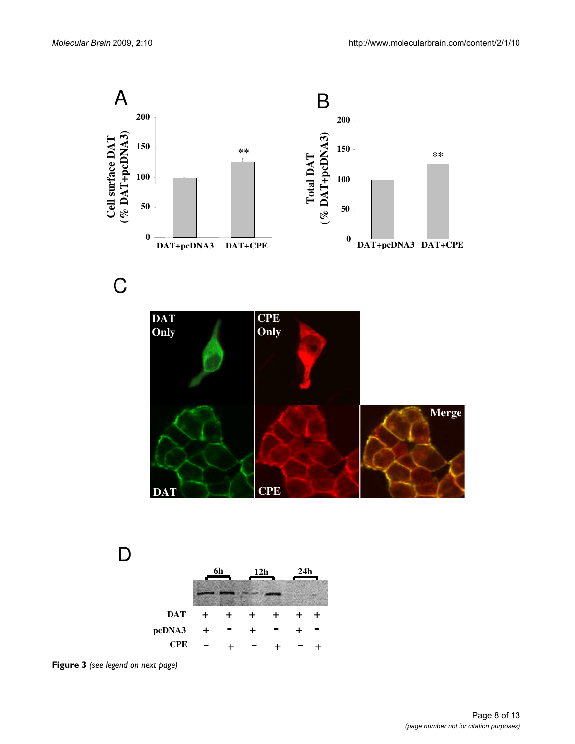

 $\overline{C}$ 



D



**Figure 3** *(see legend on next page)*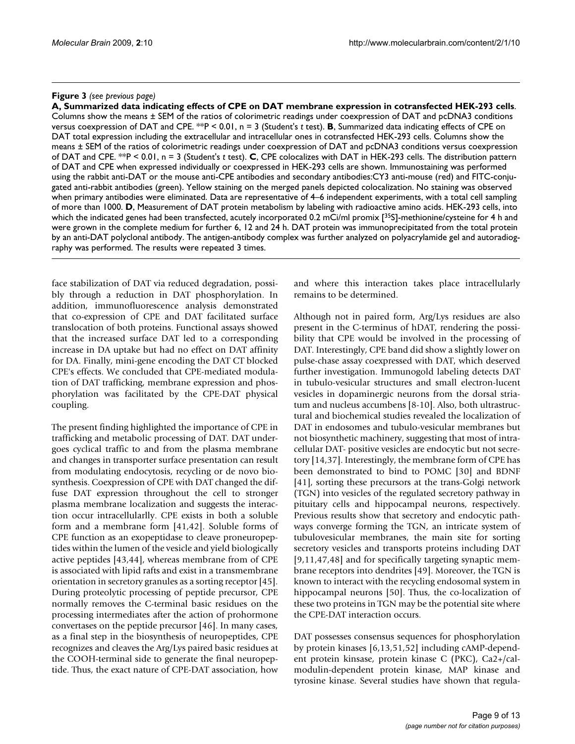#### **Figure 3** (see previous page)

**A, Summarized data indicating effects of CPE on DAT membrane expression in cotransfected HEK-293 cells**. Columns show the means ± SEM of the ratios of colorimetric readings under coexpression of DAT and pcDNA3 conditions versus coexpression of DAT and CPE. \*\*P < 0.01, n = 3 (Student's *t* test). **B**, Summarized data indicating effects of CPE on DAT total expression including the extracellular and intracellular ones in cotransfected HEK-293 cells. Columns show the means ± SEM of the ratios of colorimetric readings under coexpression of DAT and pcDNA3 conditions versus coexpression of DAT and CPE. \*\*P < 0.01, n = 3 (Student's *t* test). **C**, CPE colocalizes with DAT in HEK-293 cells. The distribution pattern of DAT and CPE when expressed individually or coexpressed in HEK-293 cells are shown. Immunostaining was performed using the rabbit anti-DAT or the mouse anti-CPE antibodies and secondary antibodies:CY3 anti-mouse (red) and FITC-conjugated anti-rabbit antibodies (green). Yellow staining on the merged panels depicted colocalization. No staining was observed when primary antibodies were eliminated. Data are representative of 4–6 independent experiments, with a total cell sampling of more than 1000. **D**, Measurement of DAT protein metabolism by labeling with radioactive amino acids. HEK-293 cells, into which the indicated genes had been transfected, acutely incorporated 0.2 mCi/ml promix [35S]-methionine/cysteine for 4 h and were grown in the complete medium for further 6, 12 and 24 h. DAT protein was immunoprecipitated from the total protein by an anti-DAT polyclonal antibody. The antigen-antibody complex was further analyzed on polyacrylamide gel and autoradiography was performed. The results were repeated 3 times.

face stabilization of DAT via reduced degradation, possibly through a reduction in DAT phosphorylation. In addition, immunofluorescence analysis demonstrated that co-expression of CPE and DAT facilitated surface translocation of both proteins. Functional assays showed that the increased surface DAT led to a corresponding increase in DA uptake but had no effect on DAT affinity for DA. Finally, mini-gene encoding the DAT CT blocked CPE's effects. We concluded that CPE-mediated modulation of DAT trafficking, membrane expression and phosphorylation was facilitated by the CPE-DAT physical coupling.

The present finding highlighted the importance of CPE in trafficking and metabolic processing of DAT. DAT undergoes cyclical traffic to and from the plasma membrane and changes in transporter surface presentation can result from modulating endocytosis, recycling or de novo biosynthesis. Coexpression of CPE with DAT changed the diffuse DAT expression throughout the cell to stronger plasma membrane localization and suggests the interaction occur intracellularlly. CPE exists in both a soluble form and a membrane form [41,42]. Soluble forms of CPE function as an exopeptidase to cleave proneuropeptides within the lumen of the vesicle and yield biologically active peptides [43,44], whereas membrane from of CPE is associated with lipid rafts and exist in a transmembrane orientation in secretory granules as a sorting receptor [45]. During proteolytic processing of peptide precursor, CPE normally removes the C-terminal basic residues on the processing intermediates after the action of prohormone convertases on the peptide precursor [46]. In many cases, as a final step in the biosynthesis of neuropeptides, CPE recognizes and cleaves the Arg/Lys paired basic residues at the COOH-terminal side to generate the final neuropeptide. Thus, the exact nature of CPE-DAT association, how and where this interaction takes place intracellularly remains to be determined.

Although not in paired form, Arg/Lys residues are also present in the C-terminus of hDAT, rendering the possibility that CPE would be involved in the processing of DAT. Interestingly, CPE band did show a slightly lower on pulse-chase assay coexpressed with DAT, which deserved further investigation. Immunogold labeling detects DAT in tubulo-vesicular structures and small electron-lucent vesicles in dopaminergic neurons from the dorsal striatum and nucleus accumbens [8-10]. Also, both ultrastructural and biochemical studies revealed the localization of DAT in endosomes and tubulo-vesicular membranes but not biosynthetic machinery, suggesting that most of intracellular DAT- positive vesicles are endocytic but not secretory [14,37]. Interestingly, the membrane form of CPE has been demonstrated to bind to POMC [30] and BDNF [41], sorting these precursors at the trans-Golgi network (TGN) into vesicles of the regulated secretory pathway in pituitary cells and hippocampal neurons, respectively. Previous results show that secretory and endocytic pathways converge forming the TGN, an intricate system of tubulovesicular membranes, the main site for sorting secretory vesicles and transports proteins including DAT [9,11,47,48] and for specifically targeting synaptic membrane receptors into dendrites [49]. Moreover, the TGN is known to interact with the recycling endosomal system in hippocampal neurons [50]. Thus, the co-localization of these two proteins in TGN may be the potential site where the CPE-DAT interaction occurs.

DAT possesses consensus sequences for phosphorylation by protein kinases [6,13,51,52] including cAMP-dependent protein kinsase, protein kinase C (PKC), Ca2+/calmodulin-dependent protein kinase, MAP kinase and tyrosine kinase. Several studies have shown that regula-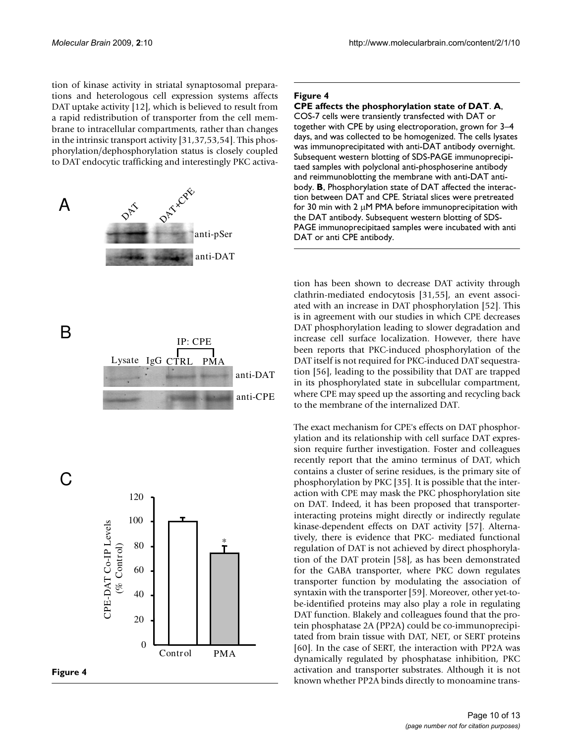C

tion of kinase activity in striatal synaptosomal preparations and heterologous cell expression systems affects DAT uptake activity [12], which is believed to result from a rapid redistribution of transporter from the cell membrane to intracellular compartments, rather than changes in the intrinsic transport activity [31,37,53,54]. This phosphorylation/dephosphorylation status is closely coupled to DAT endocytic trafficking and interestingly PKC activa-





#### Figure 4

#### **CPE affects the phosphorylation state of DAT**. **A**,

COS-7 cells were transiently transfected with DAT or together with CPE by using electroporation, grown for 3–4 days, and was collected to be homogenized. The cells lysates was immunoprecipitated with anti-DAT antibody overnight. Subsequent western blotting of SDS-PAGE immunoprecipitaed samples with polyclonal anti-phosphoserine antibody and reimmunoblotting the membrane with anti-DAT antibody. **B**, Phosphorylation state of DAT affected the interaction between DAT and CPE. Striatal slices were pretreated for 30 min with 2 μM PMA before immunoprecipitation with the DAT antibody. Subsequent western blotting of SDS-PAGE immunoprecipitaed samples were incubated with anti DAT or anti CPE antibody.

tion has been shown to decrease DAT activity through clathrin-mediated endocytosis [31,55], an event associated with an increase in DAT phosphorylation [52]. This is in agreement with our studies in which CPE decreases DAT phosphorylation leading to slower degradation and increase cell surface localization. However, there have been reports that PKC-induced phosphorylation of the DAT itself is not required for PKC-induced DAT sequestration [56], leading to the possibility that DAT are trapped in its phosphorylated state in subcellular compartment, where CPE may speed up the assorting and recycling back to the membrane of the internalized DAT.

The exact mechanism for CPE's effects on DAT phosphorylation and its relationship with cell surface DAT expression require further investigation. Foster and colleagues recently report that the amino terminus of DAT, which contains a cluster of serine residues, is the primary site of phosphorylation by PKC [35]. It is possible that the interaction with CPE may mask the PKC phosphorylation site on DAT. Indeed, it has been proposed that transporterinteracting proteins might directly or indirectly regulate kinase-dependent effects on DAT activity [57]. Alternatively, there is evidence that PKC- mediated functional regulation of DAT is not achieved by direct phosphorylation of the DAT protein [58], as has been demonstrated for the GABA transporter, where PKC down regulates transporter function by modulating the association of syntaxin with the transporter [59]. Moreover, other yet-tobe-identified proteins may also play a role in regulating DAT function. Blakely and colleagues found that the protein phosphatase 2A (PP2A) could be co-immunoprecipitated from brain tissue with DAT, NET, or SERT proteins [60]. In the case of SERT, the interaction with PP2A was dynamically regulated by phosphatase inhibition, PKC activation and transporter substrates. Although it is not known whether PP2A binds directly to monoamine trans-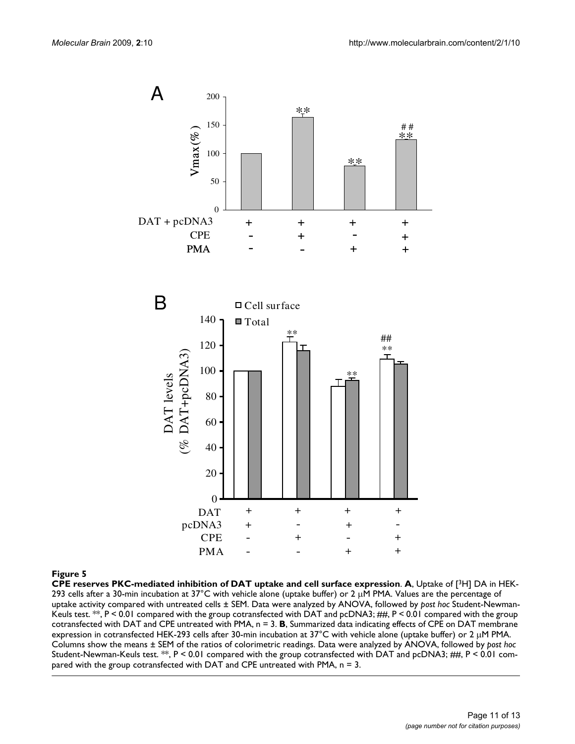

#### **Figure 5**

**CPE reserves PKC-mediated inhibition of DAT uptake and cell surface expression**. **A**, Uptake of [3H] DA in HEK-293 cells after a 30-min incubation at 37°C with vehicle alone (uptake buffer) or 2  $\mu$ M PMA. Values are the percentage of uptake activity compared with untreated cells ± SEM. Data were analyzed by ANOVA, followed by *post hoc* Student-Newman-Keuls test. \*\*,  $P < 0.01$  compared with the group cotransfected with DAT and pcDNA3; ##,  $P < 0.01$  compared with the group cotransfected with DAT and CPE untreated with PMA, n = 3. **B**, Summarized data indicating effects of CPE on DAT membrane expression in cotransfected HEK-293 cells after 30-min incubation at 37°C with vehicle alone (uptake buffer) or 2 μM PMA. Columns show the means ± SEM of the ratios of colorimetric readings. Data were analyzed by ANOVA, followed by *post hoc*  Student-Newman-Keuls test. \*\*,  $P < 0.01$  compared with the group cotransfected with DAT and pcDNA3; ##,  $P < 0.01$  compared with the group cotransfected with DAT and CPE untreated with PMA, n = 3.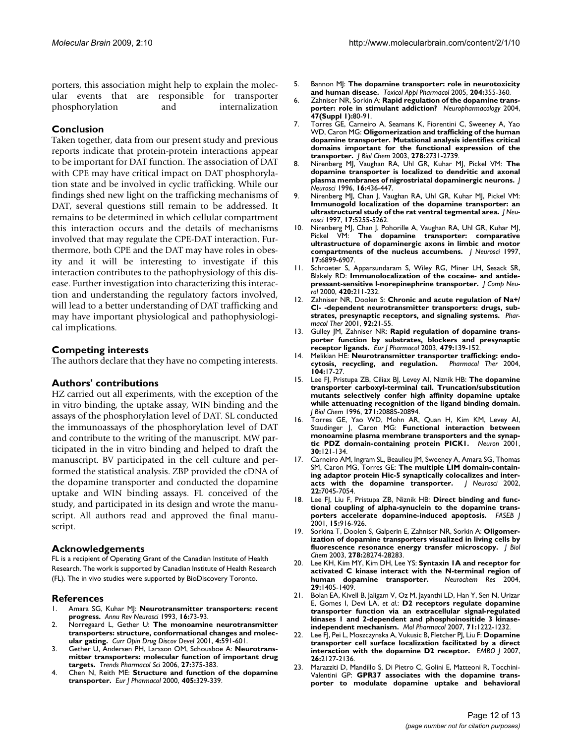porters, this association might help to explain the molecular events that are responsible for transporter phosphorylation and internalization

## **Conclusion**

Taken together, data from our present study and previous reports indicate that protein-protein interactions appear to be important for DAT function. The association of DAT with CPE may have critical impact on DAT phosphorylation state and be involved in cyclic trafficking. While our findings shed new light on the trafficking mechanisms of DAT, several questions still remain to be addressed. It remains to be determined in which cellular compartment this interaction occurs and the details of mechanisms involved that may regulate the CPE-DAT interaction. Furthermore, both CPE and the DAT may have roles in obesity and it will be interesting to investigate if this interaction contributes to the pathophysiology of this disease. Further investigation into characterizing this interaction and understanding the regulatory factors involved, will lead to a better understanding of DAT trafficking and may have important physiological and pathophysiological implications.

#### **Competing interests**

The authors declare that they have no competing interests.

#### **Authors' contributions**

HZ carried out all experiments, with the exception of the in vitro binding, the uptake assay, WIN binding and the assays of the phosphorylation level of DAT. SL conducted the immunoassays of the phosphorylation level of DAT and contribute to the writing of the manuscript. MW participated in the in vitro binding and helped to draft the manuscript. BV participated in the cell culture and performed the statistical analysis. ZBP provided the cDNA of the dopamine transporter and conducted the dopamine uptake and WIN binding assays. FL conceived of the study, and participated in its design and wrote the manuscript. All authors read and approved the final manuscript.

#### **Acknowledgements**

FL is a recipient of Operating Grant of the Canadian Institute of Health Research. The work is supported by Canadian Institute of Health Research (FL). The in vivo studies were supported by BioDiscovery Toronto.

#### **References**

- 1. Amara SG, Kuhar MJ: **[Neurotransmitter transporters: recent](http://www.ncbi.nlm.nih.gov/entrez/query.fcgi?cmd=Retrieve&db=PubMed&dopt=Abstract&list_uids=8096377) [progress.](http://www.ncbi.nlm.nih.gov/entrez/query.fcgi?cmd=Retrieve&db=PubMed&dopt=Abstract&list_uids=8096377)** *Annu Rev Neurosci* 1993, **16:**73-93.
- 2. Norregaard L, Gether U: **[The monoamine neurotransmitter](http://www.ncbi.nlm.nih.gov/entrez/query.fcgi?cmd=Retrieve&db=PubMed&dopt=Abstract&list_uids=12825454) [transporters: structure, conformational changes and molec](http://www.ncbi.nlm.nih.gov/entrez/query.fcgi?cmd=Retrieve&db=PubMed&dopt=Abstract&list_uids=12825454)[ular gating.](http://www.ncbi.nlm.nih.gov/entrez/query.fcgi?cmd=Retrieve&db=PubMed&dopt=Abstract&list_uids=12825454)** *Curr Opin Drug Discov Devel* 2001, **4:**591-601.
- 3. Gether U, Andersen PH, Larsson OM, Schousboe A: **[Neurotrans](http://www.ncbi.nlm.nih.gov/entrez/query.fcgi?cmd=Retrieve&db=PubMed&dopt=Abstract&list_uids=16762425)[mitter transporters: molecular function of important drug](http://www.ncbi.nlm.nih.gov/entrez/query.fcgi?cmd=Retrieve&db=PubMed&dopt=Abstract&list_uids=16762425) [targets.](http://www.ncbi.nlm.nih.gov/entrez/query.fcgi?cmd=Retrieve&db=PubMed&dopt=Abstract&list_uids=16762425)** *Trends Pharmacol Sci* 2006, **27:**375-383.
- 4. Chen N, Reith ME: **[Structure and function of the dopamine](http://www.ncbi.nlm.nih.gov/entrez/query.fcgi?cmd=Retrieve&db=PubMed&dopt=Abstract&list_uids=11033338) [transporter.](http://www.ncbi.nlm.nih.gov/entrez/query.fcgi?cmd=Retrieve&db=PubMed&dopt=Abstract&list_uids=11033338)** *Eur J Pharmacol* 2000, **405:**329-339.
- 5. Bannon MJ: **[The dopamine transporter: role in neurotoxicity](http://www.ncbi.nlm.nih.gov/entrez/query.fcgi?cmd=Retrieve&db=PubMed&dopt=Abstract&list_uids=15845424) [and human disease.](http://www.ncbi.nlm.nih.gov/entrez/query.fcgi?cmd=Retrieve&db=PubMed&dopt=Abstract&list_uids=15845424)** *Toxicol Appl Pharmacol* 2005, **204:**355-360.
- 6. Zahniser NR, Sorkin A: **[Rapid regulation of the dopamine trans](http://www.ncbi.nlm.nih.gov/entrez/query.fcgi?cmd=Retrieve&db=PubMed&dopt=Abstract&list_uids=15464127)[porter: role in stimulant addiction?](http://www.ncbi.nlm.nih.gov/entrez/query.fcgi?cmd=Retrieve&db=PubMed&dopt=Abstract&list_uids=15464127)** *Neuropharmacology* 2004, **47(Suppl 1):**80-91.
- 7. Torres GE, Carneiro A, Seamans K, Fiorentini C, Sweeney A, Yao WD, Caron MG: **[Oligomerization and trafficking of the human](http://www.ncbi.nlm.nih.gov/entrez/query.fcgi?cmd=Retrieve&db=PubMed&dopt=Abstract&list_uids=12429746) [dopamine transporter. Mutational analysis identifies critical](http://www.ncbi.nlm.nih.gov/entrez/query.fcgi?cmd=Retrieve&db=PubMed&dopt=Abstract&list_uids=12429746) domains important for the functional expression of the [transporter.](http://www.ncbi.nlm.nih.gov/entrez/query.fcgi?cmd=Retrieve&db=PubMed&dopt=Abstract&list_uids=12429746)** *J Biol Chem* 2003, **278:**2731-2739.
- 8. Nirenberg MJ, Vaughan RA, Uhl GR, Kuhar MJ, Pickel VM: **[The](http://www.ncbi.nlm.nih.gov/entrez/query.fcgi?cmd=Retrieve&db=PubMed&dopt=Abstract&list_uids=8551328) [dopamine transporter is localized to dendritic and axonal](http://www.ncbi.nlm.nih.gov/entrez/query.fcgi?cmd=Retrieve&db=PubMed&dopt=Abstract&list_uids=8551328) [plasma membranes of nigrostriatal dopaminergic neurons.](http://www.ncbi.nlm.nih.gov/entrez/query.fcgi?cmd=Retrieve&db=PubMed&dopt=Abstract&list_uids=8551328)** *J Neurosci* 1996, **16:**436-447.
- 9. Nirenberg MJ, Chan J, Vaughan RA, Uhl GR, Kuhar MJ, Pickel VM: **[Immunogold localization of the dopamine transporter: an](http://www.ncbi.nlm.nih.gov/entrez/query.fcgi?cmd=Retrieve&db=PubMed&dopt=Abstract&list_uids=9204909) [ultrastructural study of the rat ventral tegmental area.](http://www.ncbi.nlm.nih.gov/entrez/query.fcgi?cmd=Retrieve&db=PubMed&dopt=Abstract&list_uids=9204909)** *J Neurosci* 1997, **17:**5255-5262.
- 10. Nirenberg MJ, Chan J, Pohorille A, Vaughan RA, Uhl GR, Kuhar MJ, Pickel VM: **[The dopamine transporter: comparative](http://www.ncbi.nlm.nih.gov/entrez/query.fcgi?cmd=Retrieve&db=PubMed&dopt=Abstract&list_uids=9278525) [ultrastructure of dopaminergic axons in limbic and motor](http://www.ncbi.nlm.nih.gov/entrez/query.fcgi?cmd=Retrieve&db=PubMed&dopt=Abstract&list_uids=9278525) [compartments of the nucleus accumbens.](http://www.ncbi.nlm.nih.gov/entrez/query.fcgi?cmd=Retrieve&db=PubMed&dopt=Abstract&list_uids=9278525)** *J Neurosci* 1997, **17:**6899-6907.
- 11. Schroeter S, Apparsundaram S, Wiley RG, Miner LH, Sesack SR, Blakely RD: **[Immunolocalization of the cocaine- and antide](http://www.ncbi.nlm.nih.gov/entrez/query.fcgi?cmd=Retrieve&db=PubMed&dopt=Abstract&list_uids=10753308)[pressant-sensitive l-norepinephrine transporter.](http://www.ncbi.nlm.nih.gov/entrez/query.fcgi?cmd=Retrieve&db=PubMed&dopt=Abstract&list_uids=10753308)** *J Comp Neurol* 2000, **420:**211-232.
- 12. Zahniser NR, Doolen S: **[Chronic and acute regulation of Na+/](http://www.ncbi.nlm.nih.gov/entrez/query.fcgi?cmd=Retrieve&db=PubMed&dopt=Abstract&list_uids=11750035) [Cl- -dependent neurotransmitter transporters: drugs, sub](http://www.ncbi.nlm.nih.gov/entrez/query.fcgi?cmd=Retrieve&db=PubMed&dopt=Abstract&list_uids=11750035)[strates, presynaptic receptors, and signaling systems.](http://www.ncbi.nlm.nih.gov/entrez/query.fcgi?cmd=Retrieve&db=PubMed&dopt=Abstract&list_uids=11750035)** *Pharmacol Ther* 2001, **92:**21-55.
- 13. Gulley M, Zahniser NR: [Rapid regulation of dopamine trans](http://www.ncbi.nlm.nih.gov/entrez/query.fcgi?cmd=Retrieve&db=PubMed&dopt=Abstract&list_uids=14612145)**[porter function by substrates, blockers and presynaptic](http://www.ncbi.nlm.nih.gov/entrez/query.fcgi?cmd=Retrieve&db=PubMed&dopt=Abstract&list_uids=14612145) [receptor ligands.](http://www.ncbi.nlm.nih.gov/entrez/query.fcgi?cmd=Retrieve&db=PubMed&dopt=Abstract&list_uids=14612145)** *Eur J Pharmacol* 2003, **479:**139-152.
- 14. Melikian HE: **[Neurotransmitter transporter trafficking: endo](http://www.ncbi.nlm.nih.gov/entrez/query.fcgi?cmd=Retrieve&db=PubMed&dopt=Abstract&list_uids=15500906)[cytosis, recycling, and regulation.](http://www.ncbi.nlm.nih.gov/entrez/query.fcgi?cmd=Retrieve&db=PubMed&dopt=Abstract&list_uids=15500906)** *Pharmacol Ther* 2004, **104:**17-27.
- 15. Lee FJ, Pristupa ZB, Ciliax BJ, Levey AI, Niznik HB: **[The dopamine](http://www.ncbi.nlm.nih.gov/entrez/query.fcgi?cmd=Retrieve&db=PubMed&dopt=Abstract&list_uids=8702845) [transporter carboxyl-terminal tail. Truncation/substitution](http://www.ncbi.nlm.nih.gov/entrez/query.fcgi?cmd=Retrieve&db=PubMed&dopt=Abstract&list_uids=8702845) mutants selectively confer high affinity dopamine uptake while attenuating recognition of the ligand binding domain.** *J Biol Chem* 1996, **271:**20885-20894.
- 16. Torres GE, Yao WD, Mohn AR, Quan H, Kim KM, Levey AI, Staudinger J, Caron MG: **[Functional interaction between](http://www.ncbi.nlm.nih.gov/entrez/query.fcgi?cmd=Retrieve&db=PubMed&dopt=Abstract&list_uids=11343649) [monoamine plasma membrane transporters and the synap](http://www.ncbi.nlm.nih.gov/entrez/query.fcgi?cmd=Retrieve&db=PubMed&dopt=Abstract&list_uids=11343649)[tic PDZ domain-containing protein PICK1.](http://www.ncbi.nlm.nih.gov/entrez/query.fcgi?cmd=Retrieve&db=PubMed&dopt=Abstract&list_uids=11343649)** *Neuron* 2001, **30:**121-134.
- 17. Carneiro AM, Ingram SL, Beaulieu JM, Sweeney A, Amara SG, Thomas SM, Caron MG, Torres GE: **[The multiple LIM domain-contain](http://www.ncbi.nlm.nih.gov/entrez/query.fcgi?cmd=Retrieve&db=PubMed&dopt=Abstract&list_uids=12177201)[ing adaptor protein Hic-5 synaptically colocalizes and inter](http://www.ncbi.nlm.nih.gov/entrez/query.fcgi?cmd=Retrieve&db=PubMed&dopt=Abstract&list_uids=12177201)[acts with the dopamine transporter.](http://www.ncbi.nlm.nih.gov/entrez/query.fcgi?cmd=Retrieve&db=PubMed&dopt=Abstract&list_uids=12177201)** *J Neurosci* 2002, **22:**7045-7054.
- 18. Lee FJ, Liu F, Pristupa ZB, Niznik HB: **[Direct binding and func](http://www.ncbi.nlm.nih.gov/entrez/query.fcgi?cmd=Retrieve&db=PubMed&dopt=Abstract&list_uids=11292651)[tional coupling of alpha-synuclein to the dopamine trans](http://www.ncbi.nlm.nih.gov/entrez/query.fcgi?cmd=Retrieve&db=PubMed&dopt=Abstract&list_uids=11292651)[porters accelerate dopamine-induced apoptosis.](http://www.ncbi.nlm.nih.gov/entrez/query.fcgi?cmd=Retrieve&db=PubMed&dopt=Abstract&list_uids=11292651)** *FASEB J* 2001, **15:**916-926.
- 19. Sorkina T, Doolen S, Galperin E, Zahniser NR, Sorkin A: **[Oligomer](http://www.ncbi.nlm.nih.gov/entrez/query.fcgi?cmd=Retrieve&db=PubMed&dopt=Abstract&list_uids=12746456)[ization of dopamine transporters visualized in living cells by](http://www.ncbi.nlm.nih.gov/entrez/query.fcgi?cmd=Retrieve&db=PubMed&dopt=Abstract&list_uids=12746456) [fluorescence resonance energy transfer microscopy.](http://www.ncbi.nlm.nih.gov/entrez/query.fcgi?cmd=Retrieve&db=PubMed&dopt=Abstract&list_uids=12746456)** *J Biol Chem* 2003, **278:**28274-28283.
- 20. Lee KH, Kim MY, Kim DH, Lee YS: **[Syntaxin 1A and receptor for](http://www.ncbi.nlm.nih.gov/entrez/query.fcgi?cmd=Retrieve&db=PubMed&dopt=Abstract&list_uids=15202772) [activated C kinase interact with the N-terminal region of](http://www.ncbi.nlm.nih.gov/entrez/query.fcgi?cmd=Retrieve&db=PubMed&dopt=Abstract&list_uids=15202772)** [human dopamine transporter.](http://www.ncbi.nlm.nih.gov/entrez/query.fcgi?cmd=Retrieve&db=PubMed&dopt=Abstract&list_uids=15202772) **29:**1405-1409.
- 21. Bolan EA, Kivell B, Jaligam V, Oz M, Jayanthi LD, Han Y, Sen N, Urizar E, Gomes I, Devi LA, *et al.*: **[D2 receptors regulate dopamine](http://www.ncbi.nlm.nih.gov/entrez/query.fcgi?cmd=Retrieve&db=PubMed&dopt=Abstract&list_uids=17267664) [transporter function via an extracellular signal-regulated](http://www.ncbi.nlm.nih.gov/entrez/query.fcgi?cmd=Retrieve&db=PubMed&dopt=Abstract&list_uids=17267664) kinases 1 and 2-dependent and phosphoinositide 3 kinase[independent mechanism.](http://www.ncbi.nlm.nih.gov/entrez/query.fcgi?cmd=Retrieve&db=PubMed&dopt=Abstract&list_uids=17267664)** *Mol Pharmacol* 2007, **71:**1222-1232.
- 22. Lee FJ, Pei L, Moszczynska A, Vukusic B, Fletcher PJ, Liu F: **[Dopamine](http://www.ncbi.nlm.nih.gov/entrez/query.fcgi?cmd=Retrieve&db=PubMed&dopt=Abstract&list_uids=17380124) [transporter cell surface localization facilitated by a direct](http://www.ncbi.nlm.nih.gov/entrez/query.fcgi?cmd=Retrieve&db=PubMed&dopt=Abstract&list_uids=17380124) [interaction with the dopamine D2 receptor.](http://www.ncbi.nlm.nih.gov/entrez/query.fcgi?cmd=Retrieve&db=PubMed&dopt=Abstract&list_uids=17380124)** *EMBO J* 2007, **26:**2127-2136.
- 23. Marazziti D, Mandillo S, Di Pietro C, Golini E, Matteoni R, Tocchini-Valentini GP: **[GPR37 associates with the dopamine trans](http://www.ncbi.nlm.nih.gov/entrez/query.fcgi?cmd=Retrieve&db=PubMed&dopt=Abstract&list_uids=17519329)[porter to modulate dopamine uptake and behavioral](http://www.ncbi.nlm.nih.gov/entrez/query.fcgi?cmd=Retrieve&db=PubMed&dopt=Abstract&list_uids=17519329)**